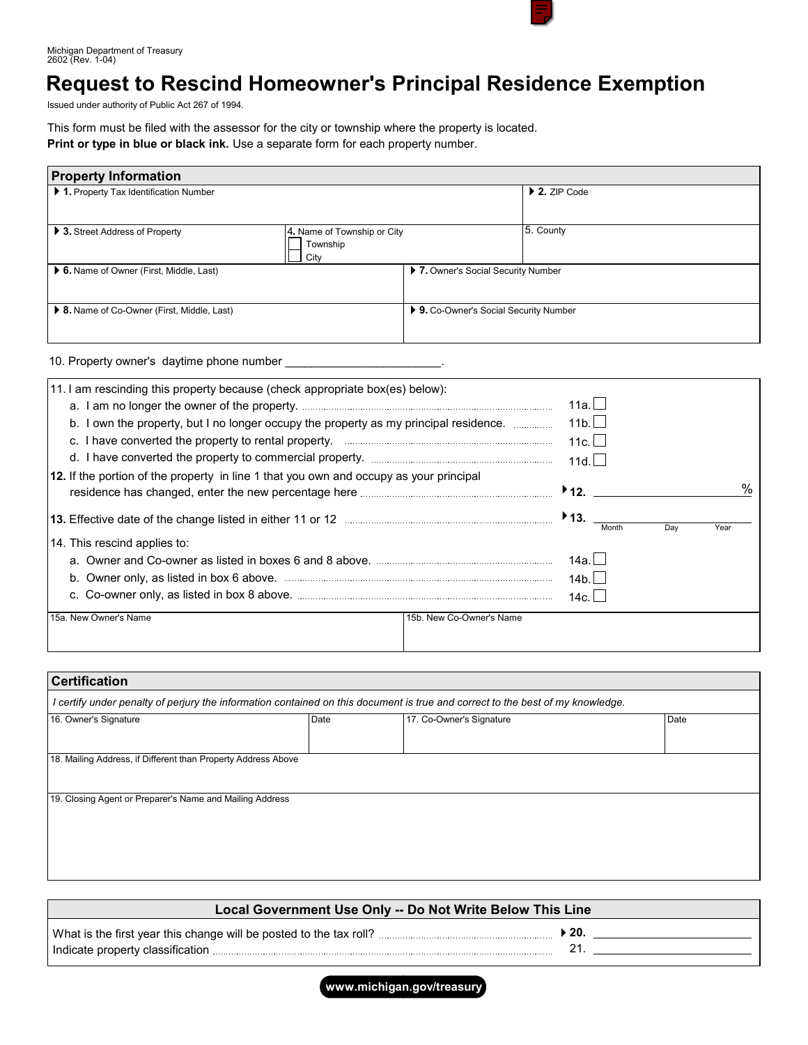

Michigan Department of Treasury 2602 (Rev. 1-04)

# **Request to Rescind Homeowner's Principal Residence Exemption**

Issued under authority of Public Act 267 of 1994.

This form must be filed with the assessor for the city or township where the property is located. **Print or type in blue or black ink.** Use a separate form for each property number.

| <b>Property Information</b>                 |                                                        |                                        |                              |  |  |  |
|---------------------------------------------|--------------------------------------------------------|----------------------------------------|------------------------------|--|--|--|
| 1. Property Tax Identification Number       |                                                        |                                        | $\triangleright$ 2. ZIP Code |  |  |  |
| ▶ 3. Street Address of Property             | 4. Name of Township or City<br>Township<br><b>City</b> |                                        | 5. County                    |  |  |  |
| ▶ 6. Name of Owner (First, Middle, Last)    |                                                        | ▶ 7. Owner's Social Security Number    |                              |  |  |  |
| ▶ 8. Name of Co-Owner (First, Middle, Last) |                                                        | ▶ 9. Co-Owner's Social Security Number |                              |  |  |  |

10. Property owner's daytime phone number \_

| 11. I am rescinding this property because (check appropriate box(es) below):                  | 11a. $\Box$                                       |
|-----------------------------------------------------------------------------------------------|---------------------------------------------------|
| b. I own the property, but I no longer occupy the property as my principal residence.         | 11 <sub>b</sub>                                   |
|                                                                                               | 11c.                                              |
|                                                                                               | 11d.                                              |
| <b>12.</b> If the portion of the property in line 1 that you own and occupy as your principal | $\%$<br>$\blacktriangleright$ 12.                 |
|                                                                                               | $\blacktriangleright$ 13.<br>Year<br>Dav<br>Month |
| 14. This rescind applies to:                                                                  |                                                   |
|                                                                                               | 14a.l                                             |
|                                                                                               | 14b.                                              |
|                                                                                               | 14c.                                              |
| 15b. New Co-Owner's Name<br>15a. New Owner's Name                                             |                                                   |
|                                                                                               |                                                   |

| <b>Certification</b><br>I certify under penalty of perjury the information contained on this document is true and correct to the best of my knowledge. |  |  |  |  |  |
|--------------------------------------------------------------------------------------------------------------------------------------------------------|--|--|--|--|--|
|                                                                                                                                                        |  |  |  |  |  |
|                                                                                                                                                        |  |  |  |  |  |
| 18. Mailing Address, if Different than Property Address Above                                                                                          |  |  |  |  |  |
|                                                                                                                                                        |  |  |  |  |  |
| 19. Closing Agent or Preparer's Name and Mailing Address                                                                                               |  |  |  |  |  |
|                                                                                                                                                        |  |  |  |  |  |
|                                                                                                                                                        |  |  |  |  |  |
|                                                                                                                                                        |  |  |  |  |  |
|                                                                                                                                                        |  |  |  |  |  |

| Local Government Use Only -- Do Not Write Below This Line |      |  |  |  |
|-----------------------------------------------------------|------|--|--|--|
|                                                           | -20. |  |  |  |

**www.michigan.gov/treasury**